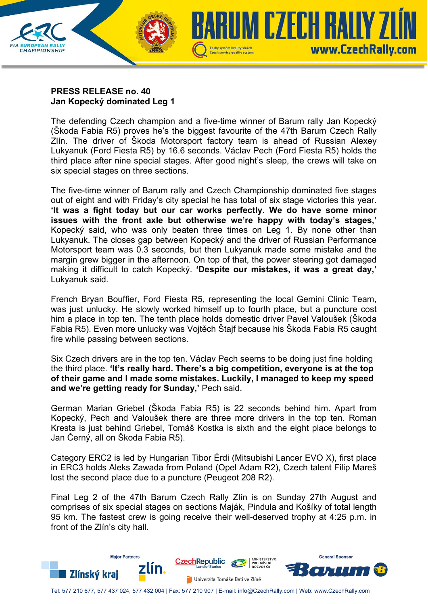

## **PRESS RELEASE no. 40 Jan Kopecký dominated Leg 1**

The defending Czech champion and a five-time winner of Barum rally Jan Kopecký (Škoda Fabia R5) proves he's the biggest favourite of the 47th Barum Czech Rally Zlín. The driver of Škoda Motorsport factory team is ahead of Russian Alexey Lukyanuk (Ford Fiesta R5) by 16.6 seconds. Václav Pech (Ford Fiesta R5) holds the third place after nine special stages. After good night's sleep, the crews will take on six special stages on three sections.

The five-time winner of Barum rally and Czech Championship dominated five stages out of eight and with Friday's city special he has total of six stage victories this year. **'It was a fight today but our car works perfectly. We do have some minor issues with the front axle but otherwise we're happy with today's stages,'** Kopecký said, who was only beaten three times on Leg 1. By none other than Lukyanuk. The closes gap between Kopecký and the driver of Russian Performance Motorsport team was 0.3 seconds, but then Lukyanuk made some mistake and the margin grew bigger in the afternoon. On top of that, the power steering got damaged making it difficult to catch Kopecký. **'Despite our mistakes, it was a great day,'** Lukyanuk said.

French Bryan Bouffier, Ford Fiesta R5, representing the local Gemini Clinic Team, was just unlucky. He slowly worked himself up to fourth place, but a puncture cost him a place in top ten. The tenth place holds domestic driver Pavel Valoušek (Škoda Fabia R5). Even more unlucky was Vojtěch Štajf because his Škoda Fabia R5 caught fire while passing between sections.

Six Czech drivers are in the top ten. Václav Pech seems to be doing just fine holding the third place. **'It's really hard. There's a big competition, everyone is at the top of their game and I made some mistakes. Luckily, I managed to keep my speed and we're getting ready for Sunday,'** Pech said.

German Marian Griebel (Škoda Fabia R5) is 22 seconds behind him. Apart from Kopecký, Pech and Valoušek there are three more drivers in the top ten. Roman Kresta is just behind Griebel, Tomáš Kostka is sixth and the eight place belongs to Jan Černý, all on Škoda Fabia R5).

Category ERC2 is led by Hungarian Tibor Érdi (Mitsubishi Lancer EVO X), first place in ERC3 holds Aleks Zawada from Poland (Opel Adam R2), Czech talent Filip Mareš lost the second place due to a puncture (Peugeot 208 R2).

Final Leg 2 of the 47th Barum Czech Rally Zlín is on Sunday 27th August and comprises of six special stages on sections Maják, Pindula and Košíky of total length 95 km. The fastest crew is going receive their well-deserved trophy at 4:25 p.m. in front of the Zlín's city hall.